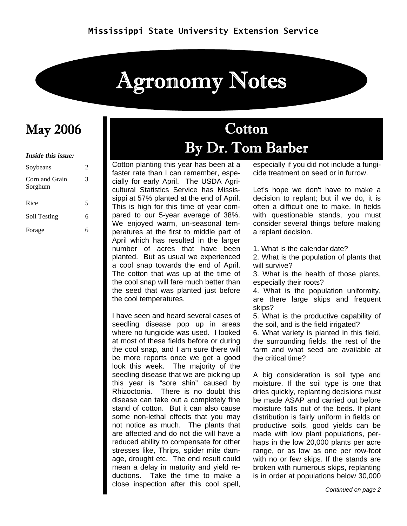# Agronomy Notes

#### *Inside this issue:*

| Soybeans                  | 2 |
|---------------------------|---|
| Corn and Grain<br>Sorghum | 3 |
| Rice                      | 5 |
| Soil Testing              | 6 |
| Forage                    | R |

### May 2006 and the Cotton By Dr. Tom Barber

Cotton planting this year has been at a faster rate than I can remember, especially for early April. The USDA Agricultural Statistics Service has Mississippi at 57% planted at the end of April. This is high for this time of year compared to our 5-year average of 38%. We enjoyed warm, un-seasonal temperatures at the first to middle part of April which has resulted in the larger number of acres that have been planted. But as usual we experienced a cool snap towards the end of April. The cotton that was up at the time of the cool snap will fare much better than the seed that was planted just before the cool temperatures.

I have seen and heard several cases of seedling disease pop up in areas where no fungicide was used. I looked at most of these fields before or during the cool snap, and I am sure there will be more reports once we get a good look this week. The majority of the seedling disease that we are picking up this year is "sore shin" caused by Rhizoctonia. There is no doubt this disease can take out a completely fine stand of cotton. But it can also cause some non-lethal effects that you may not notice as much. The plants that are affected and do not die will have a reduced ability to compensate for other stresses like, Thrips, spider mite damage, drought etc. The end result could mean a delay in maturity and yield reductions. Take the time to make a close inspection after this cool spell,

especially if you did not include a fungicide treatment on seed or in furrow.

Let's hope we don't have to make a decision to replant; but if we do, it is often a difficult one to make. In fields with questionable stands, you must consider several things before making a replant decision.

1. What is the calendar date?

2. What is the population of plants that will survive?

3. What is the health of those plants, especially their roots?

4. What is the population uniformity, are there large skips and frequent skips?

5. What is the productive capability of the soil, and is the field irrigated?

6. What variety is planted in this field, the surrounding fields, the rest of the farm and what seed are available at the critical time?

A big consideration is soil type and moisture. If the soil type is one that dries quickly, replanting decisions must be made ASAP and carried out before moisture falls out of the beds. If plant distribution is fairly uniform in fields on productive soils, good yields can be made with low plant populations, perhaps in the low 20,000 plants per acre range, or as low as one per row-foot with no or few skips. If the stands are broken with numerous skips, replanting is in order at populations below 30,000

*Continued on page 2*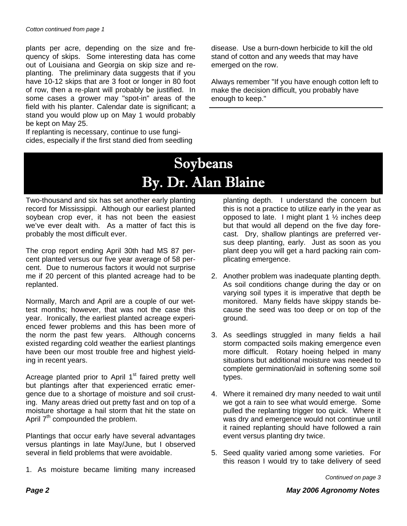plants per acre, depending on the size and frequency of skips. Some interesting data has come out of Louisiana and Georgia on skip size and replanting. The preliminary data suggests that if you have 10-12 skips that are 3 foot or longer in 80 foot of row, then a re-plant will probably be justified. In some cases a grower may "spot-in" areas of the field with his planter. Calendar date is significant; a stand you would plow up on May 1 would probably be kept on May 25.

If replanting is necessary, continue to use fungicides, especially if the first stand died from seedling disease. Use a burn-down herbicide to kill the old stand of cotton and any weeds that may have emerged on the row.

Always remember "If you have enough cotton left to make the decision difficult, you probably have enough to keep."

### Soybeans By. Dr. Alan Blaine

Two-thousand and six has set another early planting record for Mississippi. Although our earliest planted soybean crop ever, it has not been the easiest we've ever dealt with. As a matter of fact this is probably the most difficult ever.

The crop report ending April 30th had MS 87 percent planted versus our five year average of 58 percent. Due to numerous factors it would not surprise me if 20 percent of this planted acreage had to be replanted.

Normally, March and April are a couple of our wettest months; however, that was not the case this year. Ironically, the earliest planted acreage experienced fewer problems and this has been more of the norm the past few years. Although concerns existed regarding cold weather the earliest plantings have been our most trouble free and highest yielding in recent years.

Acreage planted prior to April 1<sup>st</sup> faired pretty well but plantings after that experienced erratic emergence due to a shortage of moisture and soil crusting. Many areas dried out pretty fast and on top of a moisture shortage a hail storm that hit the state on April  $7<sup>th</sup>$  compounded the problem.

Plantings that occur early have several advantages versus plantings in late May/June, but I observed several in field problems that were avoidable.

1. As moisture became limiting many increased

planting depth. I understand the concern but this is not a practice to utilize early in the year as opposed to late. I might plant 1  $\frac{1}{2}$  inches deep but that would all depend on the five day forecast. Dry, shallow plantings are preferred versus deep planting, early. Just as soon as you plant deep you will get a hard packing rain complicating emergence.

- 2. Another problem was inadequate planting depth. As soil conditions change during the day or on varying soil types it is imperative that depth be monitored. Many fields have skippy stands because the seed was too deep or on top of the ground.
- 3. As seedlings struggled in many fields a hail storm compacted soils making emergence even more difficult. Rotary hoeing helped in many situations but additional moisture was needed to complete germination/aid in softening some soil types.
- 4. Where it remained dry many needed to wait until we got a rain to see what would emerge. Some pulled the replanting trigger too quick. Where it was dry and emergence would not continue until it rained replanting should have followed a rain event versus planting dry twice.
- 5. Seed quality varied among some varieties. For this reason I would try to take delivery of seed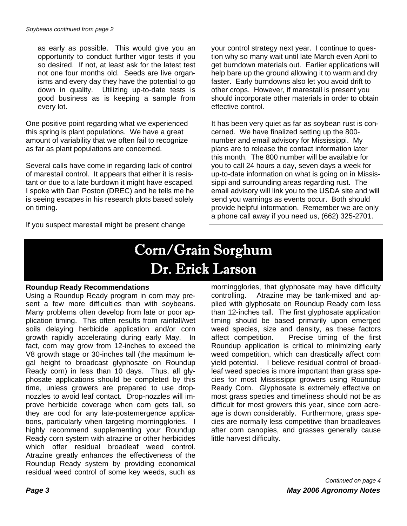as early as possible. This would give you an opportunity to conduct further vigor tests if you so desired. If not, at least ask for the latest test not one four months old. Seeds are live organisms and every day they have the potential to go down in quality. Utilizing up-to-date tests is good business as is keeping a sample from every lot.

One positive point regarding what we experienced this spring is plant populations. We have a great amount of variability that we often fail to recognize as far as plant populations are concerned.

Several calls have come in regarding lack of control of marestail control. It appears that either it is resistant or due to a late burdown it might have escaped. I spoke with Dan Poston (DREC) and he tells me he is seeing escapes in his research plots based solely on timing.

If you suspect marestail might be present change

your control strategy next year. I continue to question why so many wait until late March even April to get burndown materials out. Earlier applications will help bare up the ground allowing it to warm and dry faster. Early burndowns also let you avoid drift to other crops. However, if marestail is present you should incorporate other materials in order to obtain effective control.

It has been very quiet as far as soybean rust is concerned. We have finalized setting up the 800 number and email advisory for Mississippi. My plans are to release the contact information later this month. The 800 number will be available for you to call 24 hours a day, seven days a week for up-to-date information on what is going on in Mississippi and surrounding areas regarding rust. The email advisory will link you to the USDA site and will send you warnings as events occur. Both should provide helpful information. Remember we are only a phone call away if you need us, (662) 325-2701.

### Corn/Grain Sorghum Dr. Erick Larson

#### **Roundup Ready Recommendations**

Using a Roundup Ready program in corn may present a few more difficulties than with soybeans. Many problems often develop from late or poor application timing. This often results from rainfall/wet soils delaying herbicide application and/or corn growth rapidly accelerating during early May. In fact, corn may grow from 12-inches to exceed the V8 growth stage or 30-inches tall (the maximum legal height to broadcast glyphosate on Roundup Ready corn) in less than 10 days. Thus, all glyphosate applications should be completed by this time, unless growers are prepared to use dropnozzles to avoid leaf contact. Drop-nozzles will improve herbicide coverage when corn gets tall, so they are ood for any late-postemergence applications, particularly when targeting morningglories. I highly recommend supplementing your Roundup Ready corn system with atrazine or other herbicides which offer residual broadleaf weed control. Atrazine greatly enhances the effectiveness of the Roundup Ready system by providing economical residual weed control of some key weeds, such as

morningglories, that glyphosate may have difficulty controlling. Atrazine may be tank-mixed and applied with glyphosate on Roundup Ready corn less than 12-inches tall. The first glyphosate application timing should be based primarily upon emerged weed species, size and density, as these factors affect competition. Precise timing of the first Roundup application is critical to minimizing early weed competition, which can drastically affect corn yield potential. I believe residual control of broadleaf weed species is more important than grass species for most Mississippi growers using Roundup Ready Corn. Glyphosate is extremely effective on most grass species and timeliness should not be as difficult for most growers this year, since corn acreage is down considerably. Furthermore, grass species are normally less competitive than broadleaves after corn canopies, and grasses generally cause little harvest difficulty.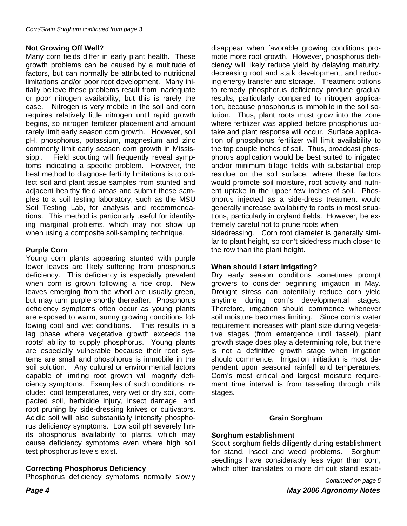#### **Not Growing Off Well?**

Many corn fields differ in early plant health. These growth problems can be caused by a multitude of factors, but can normally be attributed to nutritional limitations and/or poor root development. Many initially believe these problems result from inadequate or poor nitrogen availability, but this is rarely the case. Nitrogen is very mobile in the soil and corn requires relatively little nitrogen until rapid growth begins, so nitrogen fertilizer placement and amount rarely limit early season corn growth. However, soil pH, phosphorus, potassium, magnesium and zinc commonly limit early season corn growth in Mississippi. Field scouting will frequently reveal symptoms indicating a specific problem. However, the best method to diagnose fertility limitations is to collect soil and plant tissue samples from stunted and adjacent healthy field areas and submit these samples to a soil testing laboratory, such as the MSU Soil Testing Lab, for analysis and recommendations. This method is particularly useful for identifying marginal problems, which may not show up when using a composite soil-sampling technique.

#### **Purple Corn**

Young corn plants appearing stunted with purple lower leaves are likely suffering from phosphorus deficiency. This deficiency is especially prevalent when corn is grown following a rice crop. New leaves emerging from the whorl are usually green, but may turn purple shortly thereafter. Phosphorus deficiency symptoms often occur as young plants are exposed to warm, sunny growing conditions following cool and wet conditions. This results in a lag phase where vegetative growth exceeds the roots' ability to supply phosphorus. Young plants are especially vulnerable because their root systems are small and phosphorus is immobile in the soil solution. Any cultural or environmental factors capable of limiting root growth will magnify deficiency symptoms. Examples of such conditions include: cool temperatures, very wet or dry soil, compacted soil, herbicide injury, insect damage, and root pruning by side-dressing knives or cultivators. Acidic soil will also substantially intensify phosphorus deficiency symptoms. Low soil pH severely limits phosphorus availability to plants, which may cause deficiency symptoms even where high soil test phosphorus levels exist.

#### **Correcting Phosphorus Deficiency**

Phosphorus deficiency symptoms normally slowly

disappear when favorable growing conditions promote more root growth. However, phosphorus deficiency will likely reduce yield by delaying maturity, decreasing root and stalk development, and reducing energy transfer and storage. Treatment options to remedy phosphorus deficiency produce gradual results, particularly compared to nitrogen application, because phosphorus is immobile in the soil solution. Thus, plant roots must grow into the zone where fertilizer was applied before phosphorus uptake and plant response will occur. Surface application of phosphorus fertilizer will limit availability to the top couple inches of soil. Thus, broadcast phosphorus application would be best suited to irrigated and/or minimum tillage fields with substantial crop residue on the soil surface, where these factors would promote soil moisture, root activity and nutrient uptake in the upper few inches of soil. Phosphorus injected as a side-dress treatment would generally increase availability to roots in most situations, particularly in dryland fields. However, be extremely careful not to prune roots when

sidedressing. Corn root diameter is generally similar to plant height, so don't sidedress much closer to the row than the plant height.

#### **When should I start irrigating?**

Dry early season conditions sometimes prompt growers to consider beginning irrigation in May. Drought stress can potentially reduce corn yield anytime during corn's developmental stages. Therefore, irrigation should commence whenever soil moisture becomes limiting. Since corn's water requirement increases with plant size during vegetative stages (from emergence until tassel), plant growth stage does play a determining role, but there is not a definitive growth stage when irrigation should commence. Irrigation initiation is most dependent upon seasonal rainfall and temperatures. Corn's most critical and largest moisture requirement time interval is from tasseling through milk stages.

#### **Grain Sorghum**

#### **Sorghum establishment**

Scout sorghum fields diligently during establishment for stand, insect and weed problems. Sorghum seedlings have considerably less vigor than corn, which often translates to more difficult stand estab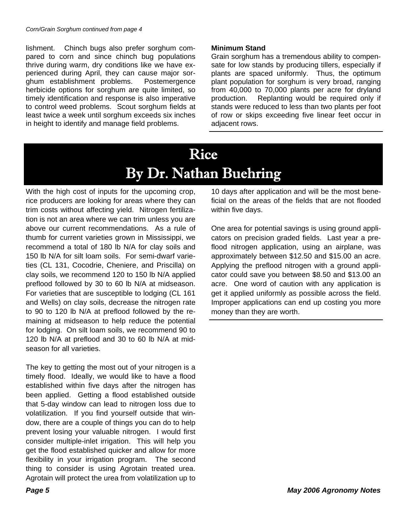lishment. Chinch bugs also prefer sorghum compared to corn and since chinch bug populations thrive during warm, dry conditions like we have experienced during April, they can cause major sorghum establishment problems. Postemergence herbicide options for sorghum are quite limited, so timely identification and response is also imperative to control weed problems. Scout sorghum fields at least twice a week until sorghum exceeds six inches in height to identify and manage field problems.

#### **Minimum Stand**

Grain sorghum has a tremendous ability to compensate for low stands by producing tillers, especially if plants are spaced uniformly. Thus, the optimum plant population for sorghum is very broad, ranging from 40,000 to 70,000 plants per acre for dryland production. Replanting would be required only if stands were reduced to less than two plants per foot of row or skips exceeding five linear feet occur in adjacent rows.

### Rice By Dr. Nathan Buehring

With the high cost of inputs for the upcoming crop, rice producers are looking for areas where they can trim costs without affecting yield. Nitrogen fertilization is not an area where we can trim unless you are above our current recommendations. As a rule of thumb for current varieties grown in Mississippi, we recommend a total of 180 lb N/A for clay soils and 150 lb N/A for silt loam soils. For semi-dwarf varieties (CL 131, Cocodrie, Cheniere, and Priscilla) on clay soils, we recommend 120 to 150 lb N/A applied preflood followed by 30 to 60 lb N/A at midseason. For varieties that are susceptible to lodging (CL 161 and Wells) on clay soils, decrease the nitrogen rate to 90 to 120 lb N/A at preflood followed by the remaining at midseason to help reduce the potential for lodging. On silt loam soils, we recommend 90 to 120 lb N/A at preflood and 30 to 60 lb N/A at midseason for all varieties.

The key to getting the most out of your nitrogen is a timely flood. Ideally, we would like to have a flood established within five days after the nitrogen has been applied. Getting a flood established outside that 5-day window can lead to nitrogen loss due to volatilization. If you find yourself outside that window, there are a couple of things you can do to help prevent losing your valuable nitrogen. I would first consider multiple-inlet irrigation. This will help you get the flood established quicker and allow for more flexibility in your irrigation program. The second thing to consider is using Agrotain treated urea. Agrotain will protect the urea from volatilization up to

10 days after application and will be the most beneficial on the areas of the fields that are not flooded within five days.

One area for potential savings is using ground applicators on precision graded fields. Last year a preflood nitrogen application, using an airplane, was approximately between \$12.50 and \$15.00 an acre. Applying the preflood nitrogen with a ground applicator could save you between \$8.50 and \$13.00 an acre. One word of caution with any application is get it applied uniformly as possible across the field. Improper applications can end up costing you more money than they are worth.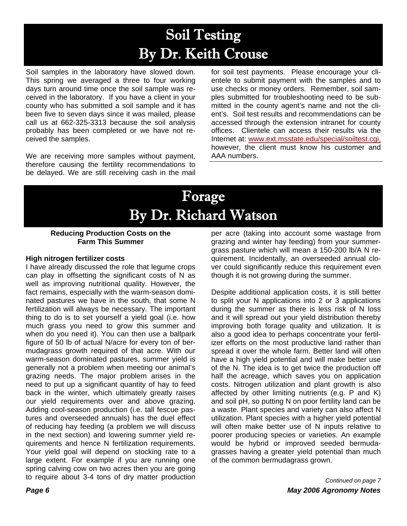## Soil Testing By Dr. Keith Crouse

Soil samples in the laboratory have slowed down. This spring we averaged a three to four working days turn around time once the soil sample was received in the laboratory. If you have a client in your county who has submitted a soil sample and it has been five to seven days since it was mailed, please call us at 662-325-3313 because the soil analysis probably has been completed or we have not received the samples.

We are receiving more samples without payment, therefore causing the fertility recommendations to be delayed. We are still receiving cash in the mail for soil test payments. Please encourage your clientele to submit payment with the samples and to use checks or money orders. Remember, soil samples submitted for troubleshooting need to be submitted in the county agent's name and not the client's. Soil test results and recommendations can be accessed through the extension intranet for county offices. Clientele can access their results via the Internet at: www.ext.msstate.edu/special/soiltest.cgi, however, the client must know his customer and AAA numbers.

### Forage By Dr. Richard Watson

#### **Reducing Production Costs on the Farm This Summer**

#### **High nitrogen fertilizer costs**

I have already discussed the role that legume crops can play in offsetting the significant costs of N as well as improving nutritional quality. However, the fact remains, especially with the warm-season dominated pastures we have in the south, that some N fertilization will always be necessary. The important thing to do is to set yourself a yield goal (i.e. how much grass you need to grow this summer and when do you need it). You can then use a ballpark figure of 50 lb of actual N/acre for every ton of bermudagrass growth required of that acre. With our warm-season dominated pastures, summer yield is generally not a problem when meeting our animal's grazing needs. The major problem arises in the need to put up a significant quantity of hay to feed back in the winter, which ultimately greatly raises our yield requirements over and above grazing. Adding cool-season production (i.e. tall fescue pastures and overseeded annuals) has the duel effect of reducing hay feeding (a problem we will discuss in the next section) and lowering summer yield requirements and hence N fertilization requirements. Your yield goal will depend on stocking rate to a large extent. For example if you are running one spring calving cow on two acres then you are going to require about 3-4 tons of dry matter production

per acre (taking into account some wastage from grazing and winter hay feeding) from your summergrass pasture which will mean a 150-200 lb/A N requirement. Incidentally, an overseeded annual clover could significantly reduce this requirement even though it is not growing during the summer.

Despite additional application costs, it is still better to split your N applications into 2 or 3 applications during the summer as there is less risk of N loss and it will spread out your yield distribution thereby improving both forage quality and utilization. It is also a good idea to perhaps concentrate your fertilizer efforts on the most productive land rather than spread it over the whole farm. Better land will often have a high yield potential and will make better use of the N. The idea is to get twice the production off half the acreage, which saves you on application costs. Nitrogen utilization and plant growth is also affected by other limiting nutrients (e.g. P and K) and soil pH, so putting N on poor fertility land can be a waste. Plant species and variety can also affect N utilization. Plant species with a higher yield potential will often make better use of N inputs relative to poorer producing species or varieties. An example would be hybrid or improved seeded bermudagrasses having a greater yield potential than much of the common bermudagrass grown.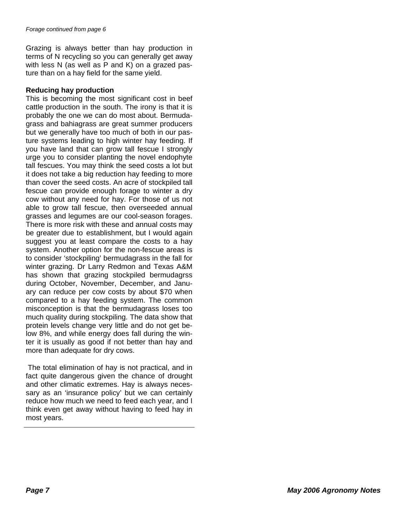Grazing is always better than hay production in terms of N recycling so you can generally get away with less N (as well as P and K) on a grazed pasture than on a hay field for the same yield.

#### **Reducing hay production**

This is becoming the most significant cost in beef cattle production in the south. The irony is that it is probably the one we can do most about. Bermudagrass and bahiagrass are great summer producers but we generally have too much of both in our pasture systems leading to high winter hay feeding. If you have land that can grow tall fescue I strongly urge you to consider planting the novel endophyte tall fescues. You may think the seed costs a lot but it does not take a big reduction hay feeding to more than cover the seed costs. An acre of stockpiled tall fescue can provide enough forage to winter a dry cow without any need for hay. For those of us not able to grow tall fescue, then overseeded annual grasses and legumes are our cool-season forages. There is more risk with these and annual costs may be greater due to establishment, but I would again suggest you at least compare the costs to a hay system. Another option for the non-fescue areas is to consider 'stockpiling' bermudagrass in the fall for winter grazing. Dr Larry Redmon and Texas A&M has shown that grazing stockpiled bermudagrss during October, November, December, and January can reduce per cow costs by about \$70 when compared to a hay feeding system. The common misconception is that the bermudagrass loses too much quality during stockpiling. The data show that protein levels change very little and do not get below 8%, and while energy does fall during the winter it is usually as good if not better than hay and more than adequate for dry cows.

 The total elimination of hay is not practical, and in fact quite dangerous given the chance of drought and other climatic extremes. Hay is always necessary as an 'insurance policy' but we can certainly reduce how much we need to feed each year, and I think even get away without having to feed hay in most years.